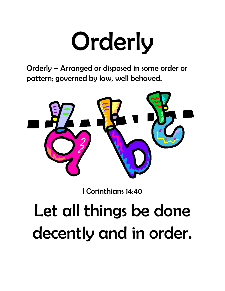### **Orderly**

Orderly – Arranged or disposed in some order or pattern; governed by law, well behaved.



I Corinthians 14:40

### Let all things be done decently and in order.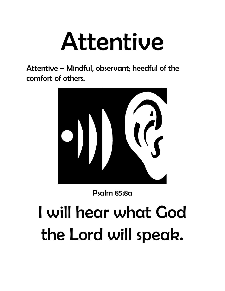### Attentive

Attentive – Mindful, observant; heedful of the comfort of others.



Psalm 85:8a

### I will hear what God the Lord will speak.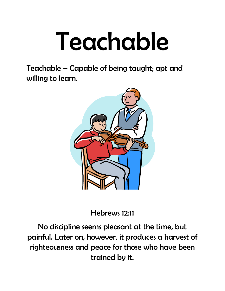### Teachable

Teachable – Capable of being taught; apt and willing to learn.



Hebrews 12:11

No discipline seems pleasant at the time, but painful. Later on, however, it produces a harvest of righteousness and peace for those who have been trained by it.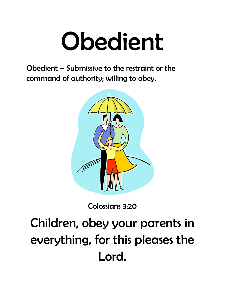### Obedient

Obedient – Submissive to the restraint or the command of authority; willing to obey.



Colossians 3:20

### Children, obey your parents in everything, for this pleases the Lord.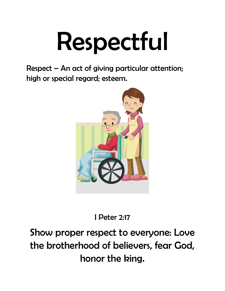## Respectful

Respect – An act of giving particular attention; high or special regard; esteem.



I Peter 2:17

#### Show proper respect to everyone: Love the brotherhood of believers, fear God, honor the king.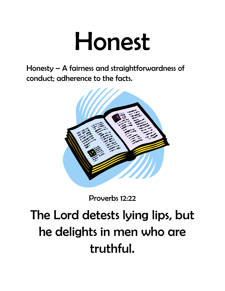### Honest

Honesty – A fairness and straightforwardness of conduct; adherence to the facts.



Proverbs 12:22

### The Lord detests lying lips, but he delights in men who are truthful.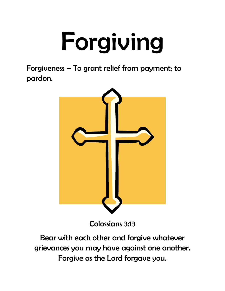# Forgiving

Forgiveness – To grant relief from payment; to pardon.



Colossians 3:13

Bear with each other and forgive whatever grievances you may have against one another. Forgive as the Lord forgave you.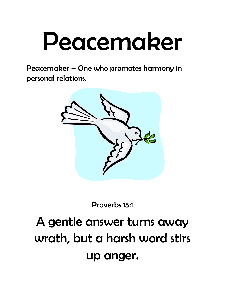### Peacemaker

Peacemaker – One who promotes harmony in personal relations.



Proverbs 15:1

#### A gentle answer turns away wrath, but a harsh word stirs up anger.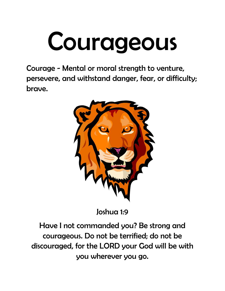### Courageous

Courage - Mental or moral strength to venture, persevere, and withstand danger, fear, or difficulty; brave.



Joshua 1:9

Have I not commanded you? Be strong and courageous. Do not be terrified; do not be discouraged, for the LORD your God will be with you wherever you go.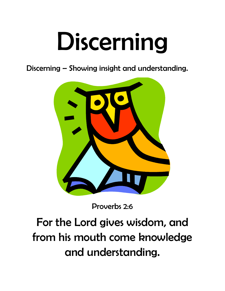### Discerning

Discerning – Showing insight and understanding.



Proverbs 2:6

For the Lord gives wisdom, and from his mouth come knowledge and understanding.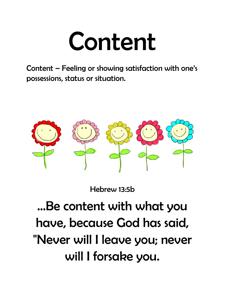### Content

Content – Feeling or showing satisfaction with one's possessions, status or situation.



Hebrew 13:5b

### …Be content with what you have, because God has said, "Never will I leave you; never will I forsake you.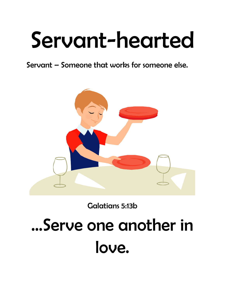### Servant-hearted

Servant – Someone that works for someone else.



Galatians 5:13b

### …Serve one another in love.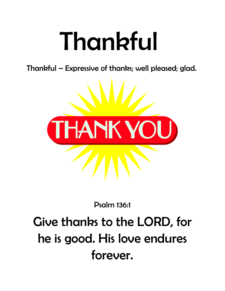### Thankful

Thankful – Expressive of thanks; well pleased; glad.



#### Psalm 136:1

### Give thanks to the LORD, for he is good. His love endures forever.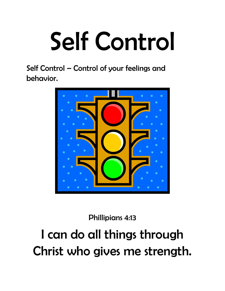# Self Control

Self Control – Control of your feelings and behavior.



Phillipians 4:13

#### I can do all things through Christ who gives me strength.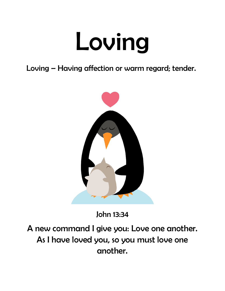### Loving

Loving – Having affection or warm regard; tender.



John 13:34

A new command I give you: Love one another. As I have loved you, so you must love one another.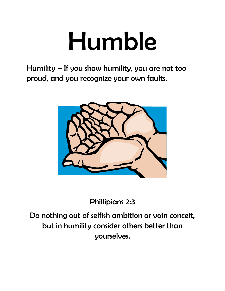### Humble

Humility – If you show humility, you are not too proud, and you recognize your own faults.



Phillipians 2:3

Do nothing out of selfish ambition or vain conceit, but in humility consider others better than yourselves.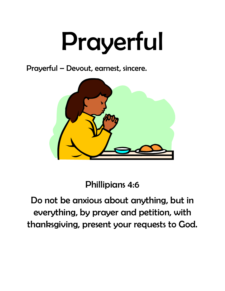# Prayerful

Prayerful – Devout, earnest, sincere.



Phillipians 4:6

Do not be anxious about anything, but in everything, by prayer and petition, with thanksgiving, present your requests to God.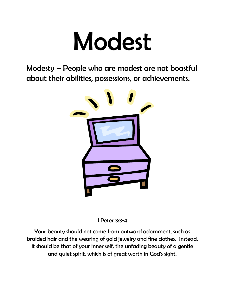### Modest

Modesty – People who are modest are not boastful about their abilities, possessions, or achievements.



I Peter 3:3-4

Your beauty should not come from outward adornment, such as braided hair and the wearing of gold jewelry and fine clothes. Instead, it should be that of your inner self, the unfading beauty of a gentle and quiet spirit, which is of great worth in God's sight.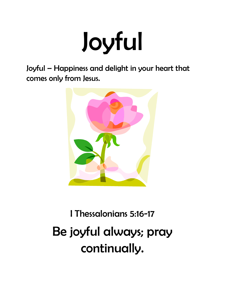## Joyful

Joyful – Happiness and delight in your heart that comes only from Jesus.



### I Thessalonians 5:16-17 Be joyful always; pray continually.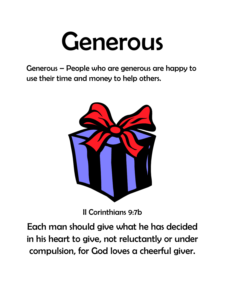### Generous

Generous – People who are generous are happy to use their time and money to help others.



II Corinthians 9:7b

Each man should give what he has decided in his heart to give, not reluctantly or under compulsion, for God loves a cheerful giver.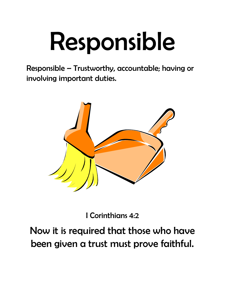# Responsible

Responsible – Trustworthy, accountable; having or involving important duties.



I Corinthians 4:2

#### Now it is required that those who have been given a trust must prove faithful.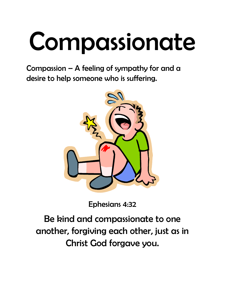# Compassionate

Compassion – A feeling of sympathy for and a desire to help someone who is suffering.



Ephesians 4:32

Be kind and compassionate to one another, forgiving each other, just as in Christ God forgave you.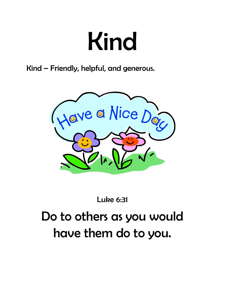### Kind

Kind – Friendly, helpful, and generous.



Luke 6:31

#### Do to others as you would have them do to you.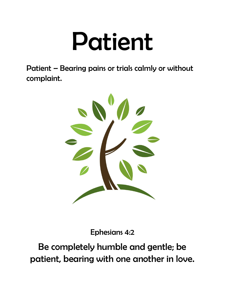### Patient

Patient – Bearing pains or trials calmly or without complaint.



Ephesians 4:2

Be completely humble and gentle; be patient, bearing with one another in love.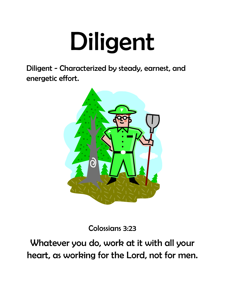### Diligent

Diligent - Characterized by steady, earnest, and energetic effort.



Colossians 3:23

Whatever you do, work at it with all your heart, as working for the Lord, not for men.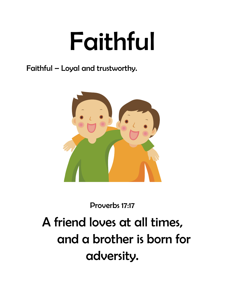### Faithful

Faithful – Loyal and trustworthy.



Proverbs 17:17

A friend loves at all times, and a brother is born for adversity.